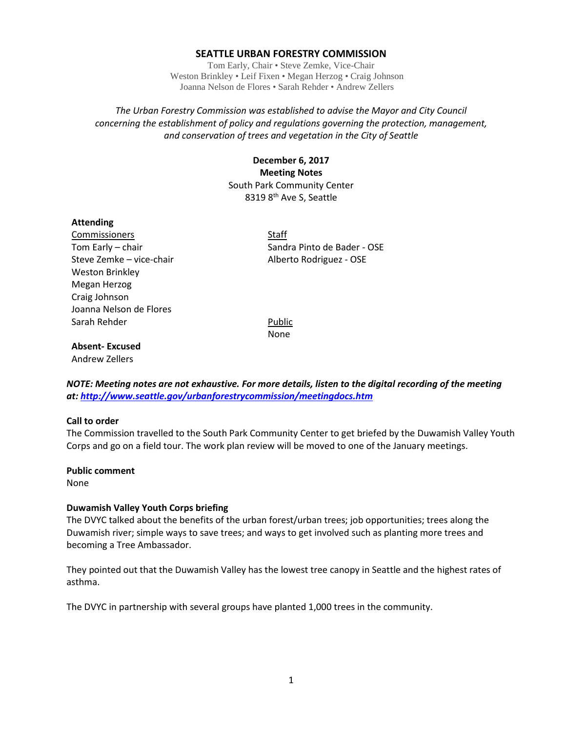### **SEATTLE URBAN FORESTRY COMMISSION**

Tom Early, Chair • Steve Zemke, Vice-Chair Weston Brinkley • Leif Fixen • Megan Herzog • Craig Johnson Joanna Nelson de Flores • Sarah Rehder • Andrew Zellers

*The Urban Forestry Commission was established to advise the Mayor and City Council concerning the establishment of policy and regulations governing the protection, management, and conservation of trees and vegetation in the City of Seattle*

# **December 6, 2017 Meeting Notes** South Park Community Center 8319 8<sup>th</sup> Ave S, Seattle

#### **Attending**

Commissioners Staff Steve Zemke – vice-chair and alberto Rodriguez - OSE Weston Brinkley Megan Herzog Craig Johnson Joanna Nelson de Flores Sarah Rehder **Public** 

Tom Early – chair Sandra Pinto de Bader - OSE

None

## **Absent- Excused**

Andrew Zellers

*NOTE: Meeting notes are not exhaustive. For more details, listen to the digital recording of the meeting at:<http://www.seattle.gov/urbanforestrycommission/meetingdocs.htm>*

#### **Call to order**

The Commission travelled to the South Park Community Center to get briefed by the Duwamish Valley Youth Corps and go on a field tour. The work plan review will be moved to one of the January meetings.

#### **Public comment**

None

## **Duwamish Valley Youth Corps briefing**

The DVYC talked about the benefits of the urban forest/urban trees; job opportunities; trees along the Duwamish river; simple ways to save trees; and ways to get involved such as planting more trees and becoming a Tree Ambassador.

They pointed out that the Duwamish Valley has the lowest tree canopy in Seattle and the highest rates of asthma.

The DVYC in partnership with several groups have planted 1,000 trees in the community.